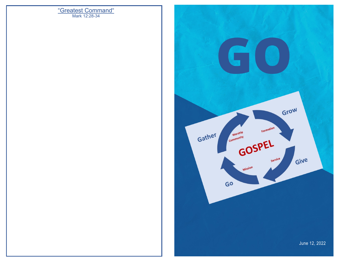# Mark 12:28-34